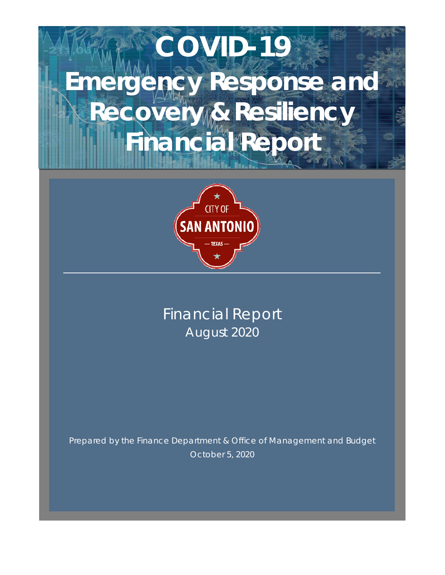# **COVID-19 Emergency Response and Recovery & Resiliency Financial Report**



# Financial Report August 2020

Prepared by the Finance Department & Office of Management and Budget October 5, 2020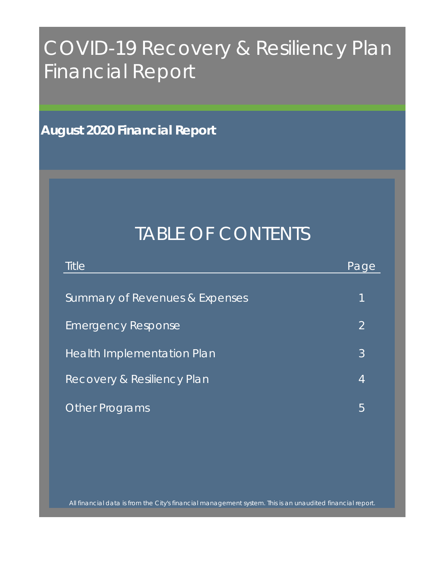# COVID-19 Recovery & Resiliency Plan Financial Report

**August 2020 Financial Report**

# TABLE OF CONTENTS

| <b>Title</b>                          | Page |
|---------------------------------------|------|
|                                       |      |
| Summary of Revenues & Expenses        | 1    |
| <b>Emergency Response</b>             | 2    |
| Health Implementation Plan            | 3    |
| <b>Recovery &amp; Resiliency Plan</b> | 4    |
| <b>Other Programs</b>                 | 5    |

All financial data is from the City's financial management system. This is an unaudited financial report.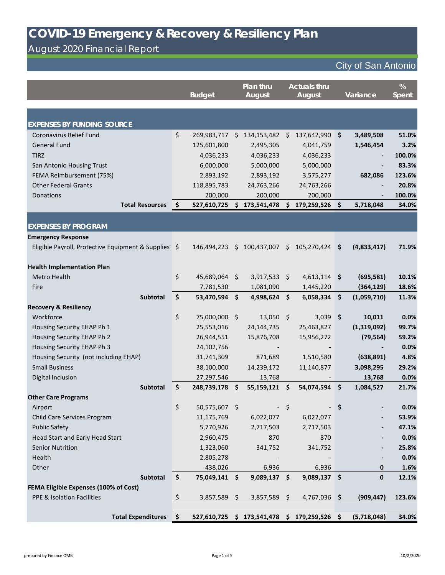# August 2020 Financial Report

|                                                      |                     | <b>Budget</b>           |         | Plan thru<br><b>August</b>                   |         | <b>Actuals thru</b><br><b>August</b> |    | Variance    | %<br><b>Spent</b> |
|------------------------------------------------------|---------------------|-------------------------|---------|----------------------------------------------|---------|--------------------------------------|----|-------------|-------------------|
|                                                      |                     |                         |         |                                              |         |                                      |    |             |                   |
| <b>EXPENSES BY FUNDING SOURCE</b>                    |                     |                         |         |                                              |         |                                      |    |             |                   |
| <b>Coronavirus Relief Fund</b>                       | \$                  | 269,983,717             | \$      | 134,153,482                                  | - \$    | 137,642,990 \$                       |    | 3,489,508   | 51.0%             |
| <b>General Fund</b>                                  |                     | 125,601,800             |         | 2,495,305                                    |         | 4,041,759                            |    | 1,546,454   | 3.2%              |
| <b>TIRZ</b>                                          |                     | 4,036,233               |         | 4,036,233                                    |         | 4,036,233                            |    |             | 100.0%            |
| San Antonio Housing Trust                            |                     | 6,000,000               |         | 5,000,000                                    |         | 5,000,000                            |    |             | 83.3%             |
| FEMA Reimbursement (75%)                             |                     | 2,893,192               |         | 2,893,192                                    |         | 3,575,277                            |    | 682,086     | 123.6%            |
| <b>Other Federal Grants</b>                          |                     | 118,895,783             |         | 24,763,266                                   |         | 24,763,266                           |    |             | 20.8%             |
| Donations                                            |                     | 200,000                 |         | 200,000                                      |         | 200,000                              |    |             | 100.0%            |
| <b>Total Resources</b>                               | $\ddot{\bm{\zeta}}$ | 527,610,725             | \$      | 173,541,478                                  |         | 179,259,526                          | \$ | 5,718,048   | 34.0%             |
|                                                      |                     |                         |         |                                              |         |                                      |    |             |                   |
| <b>EXPENSES BY PROGRAM</b>                           |                     |                         |         |                                              |         |                                      |    |             |                   |
| <b>Emergency Response</b>                            |                     |                         |         |                                              |         |                                      |    |             |                   |
| Eligible Payroll, Protective Equipment & Supplies \$ |                     | 146,494,223             | \$      | 100,437,007                                  | $\zeta$ | 105,270,424 \$                       |    | (4,833,417) | 71.9%             |
|                                                      |                     |                         |         |                                              |         |                                      |    |             |                   |
| <b>Health Implementation Plan</b>                    |                     |                         |         |                                              |         |                                      |    |             |                   |
| Metro Health                                         | $\zeta$             | 45,689,064              | $\zeta$ | $3,917,533$ \$                               |         | $4,613,114$ \$                       |    | (695, 581)  | 10.1%             |
| Fire                                                 |                     | 7,781,530               |         | 1,081,090                                    |         | 1,445,220                            |    | (364, 129)  | 18.6%             |
| Subtotal                                             | \$                  | 53,470,594              | $\zeta$ | 4,998,624 \$                                 |         | $6,058,334$ \$                       |    | (1,059,710) | 11.3%             |
| <b>Recovery &amp; Resiliency</b>                     |                     |                         |         |                                              |         |                                      |    |             |                   |
| Workforce                                            | \$                  | 75,000,000 \$           |         | $13,050$ \$                                  |         | $3,039$ \$                           |    | 10,011      | 0.0%              |
| Housing Security EHAP Ph 1                           |                     | 25,553,016              |         | 24,144,735                                   |         | 25,463,827                           |    | (1,319,092) | 99.7%             |
| Housing Security EHAP Ph 2                           |                     | 26,944,551              |         | 15,876,708                                   |         | 15,956,272                           |    | (79, 564)   | 59.2%             |
| Housing Security EHAP Ph 3                           |                     | 24,102,756              |         |                                              |         |                                      |    |             | 0.0%              |
| Housing Security (not including EHAP)                |                     | 31,741,309              |         | 871,689                                      |         | 1,510,580                            |    | (638, 891)  | 4.8%              |
| <b>Small Business</b>                                |                     | 38,100,000              |         | 14,239,172                                   |         | 11,140,877                           |    | 3,098,295   | 29.2%             |
| Digital Inclusion                                    |                     | 27,297,546              |         | 13,768                                       |         |                                      |    | 13,768      | 0.0%              |
| Subtotal                                             | \$                  | 248,739,178 \$          |         | $55,159,121$ \$                              |         | 54,074,594 \$                        |    | 1,084,527   | 21.7%             |
| <b>Other Care Programs</b>                           | $\zeta$             | 50,575,607 \$           |         |                                              |         |                                      |    |             |                   |
| Airport                                              |                     |                         |         |                                              | $\zeta$ |                                      | Ş  |             | 0.0%<br>53.9%     |
| Child Care Services Program<br><b>Public Safety</b>  |                     | 11,175,769<br>5,770,926 |         | 6,022,077                                    |         | 6,022,077<br>2,717,503               |    |             | 47.1%             |
| Head Start and Early Head Start                      |                     | 2,960,475               |         | 2,717,503<br>870                             |         | 870                                  |    |             | 0.0%              |
| <b>Senior Nutrition</b>                              |                     | 1,323,060               |         | 341,752                                      |         | 341,752                              |    |             | 25.8%             |
| Health                                               |                     | 2,805,278               |         |                                              |         |                                      |    |             | 0.0%              |
| Other                                                |                     | 438,026                 |         | 6,936                                        |         | 6,936                                |    | $\mathbf 0$ | 1.6%              |
| Subtotal                                             | $\mathsf{S}$        | 75,049,141 \$           |         | $9,089,137$ \$                               |         | $9,089,137$ \$                       |    | $\mathbf 0$ | 12.1%             |
| <b>FEMA Eligible Expenses (100% of Cost)</b>         |                     |                         |         |                                              |         |                                      |    |             |                   |
| <b>PPE &amp; Isolation Facilities</b>                |                     | $3,857,589$ \$          |         | $3,857,589$ \$                               |         | $4,767,036$ \$                       |    | (909, 447)  | 123.6%            |
|                                                      |                     |                         |         |                                              |         |                                      |    |             |                   |
| <b>Total Expenditures</b>                            | ∣\$                 |                         |         | 527,610,725 \$ 173,541,478 \$ 179,259,526 \$ |         |                                      |    | (5,718,048) | 34.0%             |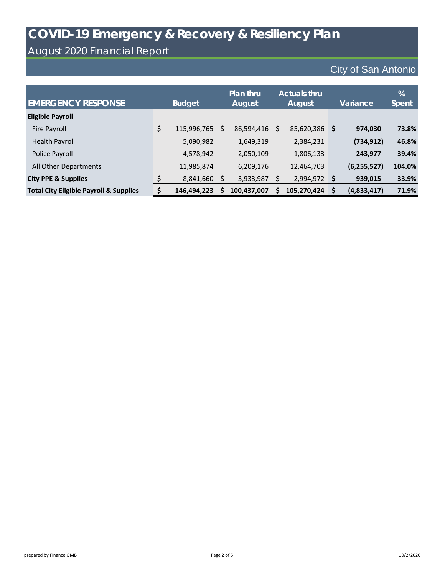#### August 2020 Financial Report

| <b>EMERGENCY RESPONSE</b>                         | <b>Budget</b> |             |   | Plan thru<br>August |   | <b>Actuals thru</b><br>August |    | Variance      | %<br>Spent |
|---------------------------------------------------|---------------|-------------|---|---------------------|---|-------------------------------|----|---------------|------------|
| <b>Eligible Payroll</b>                           |               |             |   |                     |   |                               |    |               |            |
| Fire Payroll                                      | \$            | 115,996,765 | S | 86,594,416          | S | 85,620,386 \$                 |    | 974,030       | 73.8%      |
| Health Payroll                                    |               | 5,090,982   |   | 1,649,319           |   | 2,384,231                     |    | (734, 912)    | 46.8%      |
| Police Payroll                                    |               | 4,578,942   |   | 2,050,109           |   | 1,806,133                     |    | 243,977       | 39.4%      |
| All Other Departments                             |               | 11,985,874  |   | 6,209,176           |   | 12,464,703                    |    | (6, 255, 527) | 104.0%     |
| <b>City PPE &amp; Supplies</b>                    |               | 8,841,660   |   | 3,933,987           |   | 2,994,972                     | \$ | 939,015       | 33.9%      |
| <b>Total City Eligible Payroll &amp; Supplies</b> |               | 146,494,223 | Ś | 100,437,007         |   | 105,270,424                   | Ŝ  | (4,833,417)   | 71.9%      |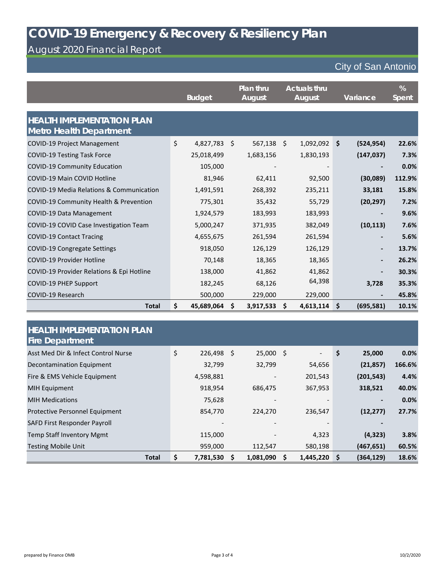# August 2020 Financial Report

|                                                                     | <b>Budget</b>    |    | Plan thru<br><b>August</b> |         | <b>Actuals thru</b><br><b>August</b> |    | Variance                 | %<br><b>Spent</b> |
|---------------------------------------------------------------------|------------------|----|----------------------------|---------|--------------------------------------|----|--------------------------|-------------------|
| <b>HEALTH IMPLEMENTATION PLAN</b><br><b>Metro Health Department</b> |                  |    |                            |         |                                      |    |                          |                   |
| COVID-19 Project Management                                         | \$<br>4,827,783  | \$ | 567,138                    | $\zeta$ | 1,092,092                            | \$ | (524, 954)               | 22.6%             |
| <b>COVID-19 Testing Task Force</b>                                  | 25,018,499       |    | 1,683,156                  |         | 1,830,193                            |    | (147, 037)               | 7.3%              |
| COVID-19 Community Education                                        | 105,000          |    |                            |         |                                      |    |                          | 0.0%              |
| <b>COVID-19 Main COVID Hotline</b>                                  | 81,946           |    | 62,411                     |         | 92,500                               |    | (30,089)                 | 112.9%            |
| COVID-19 Media Relations & Communication                            | 1,491,591        |    | 268,392                    |         | 235,211                              |    | 33,181                   | 15.8%             |
| COVID-19 Community Health & Prevention                              | 775,301          |    | 35,432                     |         | 55,729                               |    | (20, 297)                | 7.2%              |
| COVID-19 Data Management                                            | 1,924,579        |    | 183,993                    |         | 183,993                              |    |                          | 9.6%              |
| COVID-19 COVID Case Investigation Team                              | 5,000,247        |    | 371,935                    |         | 382,049                              |    | (10, 113)                | 7.6%              |
| <b>COVID-19 Contact Tracing</b>                                     | 4,655,675        |    | 261,594                    |         | 261,594                              |    |                          | 5.6%              |
| <b>COVID-19 Congregate Settings</b>                                 | 918,050          |    | 126,129                    |         | 126,129                              |    |                          | 13.7%             |
| <b>COVID-19 Provider Hotline</b>                                    | 70,148           |    | 18,365                     |         | 18,365                               |    |                          | 26.2%             |
| COVID-19 Provider Relations & Epi Hotline                           | 138,000          |    | 41,862                     |         | 41,862                               |    | $\overline{\phantom{0}}$ | 30.3%             |
| COVID-19 PHEP Support                                               | 182,245          |    | 68,126                     |         | 64,398                               |    | 3,728                    | 35.3%             |
| COVID-19 Research                                                   | 500,000          |    | 229,000                    |         | 229,000                              |    |                          | 45.8%             |
| <b>Total</b>                                                        | \$<br>45,689,064 | Ŝ. | 3,917,533                  | \$      | 4,613,114                            | \$ | (695, 581)               | 10.1%             |

| <b>HEALTH IMPLEMENTATION PLAN</b><br><b>Fire Department</b> |                  |                          |                          |                 |        |
|-------------------------------------------------------------|------------------|--------------------------|--------------------------|-----------------|--------|
| Asst Med Dir & Infect Control Nurse                         | \$<br>226,498 \$ | $25,000$ \$              | $\overline{\phantom{a}}$ | \$<br>25,000    | 0.0%   |
| Decontamination Equipment                                   | 32,799           | 32,799                   | 54,656                   | (21, 857)       | 166.6% |
| Fire & EMS Vehicle Equipment                                | 4,598,881        | $\overline{\phantom{a}}$ | 201,543                  | (201, 543)      | 4.4%   |
| <b>MIH Equipment</b>                                        | 918,954          | 686,475                  | 367,953                  | 318,521         | 40.0%  |
| <b>MIH Medications</b>                                      | 75,628           |                          |                          |                 | 0.0%   |
| <b>Protective Personnel Equipment</b>                       | 854,770          | 224,270                  | 236,547                  | (12, 277)       | 27.7%  |
| SAFD First Responder Payroll                                |                  |                          |                          |                 |        |
| <b>Temp Staff Inventory Mgmt</b>                            | 115,000          |                          | 4,323                    | (4, 323)        | 3.8%   |
| <b>Testing Mobile Unit</b>                                  | 959,000          | 112,547                  | 580,198                  | (467, 651)      | 60.5%  |
| <b>Total</b>                                                | \$<br>7,781,530  | 1,081,090                | 1,445,220<br>s           | (364, 129)<br>S | 18.6%  |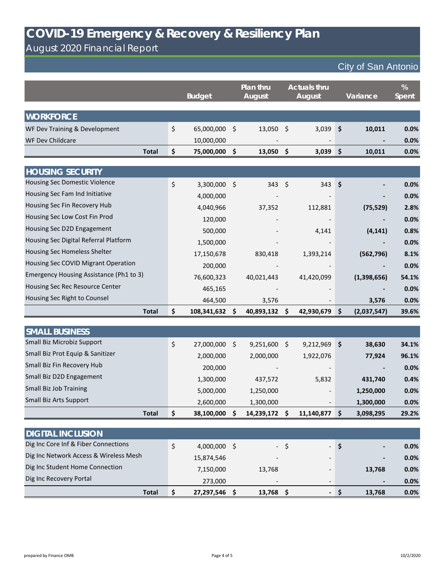August 2020 Financial Report

|                                         | <b>Budget</b> |             | Plan thru<br><b>August</b> |             | <b>Actuals thru</b><br><b>August</b> |            |    | Variance    | %<br><b>Spent</b> |
|-----------------------------------------|---------------|-------------|----------------------------|-------------|--------------------------------------|------------|----|-------------|-------------------|
|                                         |               |             |                            |             |                                      |            |    |             |                   |
| <b>WORKFORCE</b>                        |               |             |                            |             |                                      |            |    |             |                   |
| WF Dev Training & Development           | \$            | 65,000,000  | -\$                        | $13,050$ \$ |                                      | 3,039      | Ŝ. | 10,011      | 0.0%              |
| <b>WF Dev Childcare</b>                 |               | 10,000,000  |                            |             |                                      |            |    |             | 0.0%              |
| <b>Total</b>                            | \$            | 75,000,000  | -\$                        | 13,050      | -\$                                  | 3,039      | -S | 10,011      | 0.0%              |
|                                         |               |             |                            |             |                                      |            |    |             |                   |
| <b>HOUSING SECURITY</b>                 |               |             |                            |             |                                      |            |    |             |                   |
| Housing Sec Domestic Violence           | \$            | 3,300,000   | - \$                       | 343         | Ŝ.                                   | 343        | Š. |             | 0.0%              |
| Housing Sec Fam Ind Initiative          |               | 4,000,000   |                            |             |                                      |            |    |             | 0.0%              |
| Housing Sec Fin Recovery Hub            |               | 4,040,966   |                            | 37,352      |                                      | 112,881    |    | (75, 529)   | 2.8%              |
| Housing Sec Low Cost Fin Prod           |               | 120,000     |                            |             |                                      |            |    |             | 0.0%              |
| Housing Sec D2D Engagement              |               | 500,000     |                            |             |                                      | 4,141      |    | (4, 141)    | 0.8%              |
| Housing Sec Digital Referral Platform   |               | 1,500,000   |                            |             |                                      |            |    |             | 0.0%              |
| Housing Sec Homeless Shelter            |               | 17,150,678  |                            | 830,418     |                                      | 1,393,214  |    | (562, 796)  | 8.1%              |
| Housing Sec COVID Migrant Operation     |               | 200,000     |                            |             |                                      |            |    |             | 0.0%              |
| Emergency Housing Assistance (Ph1 to 3) |               | 76,600,323  |                            | 40,021,443  |                                      | 41,420,099 |    | (1,398,656) | 54.1%             |
| Housing Sec Rec Resource Center         |               | 465,165     |                            |             |                                      |            |    |             | 0.0%              |
| Housing Sec Right to Counsel            |               | 464,500     |                            | 3,576       |                                      |            |    | 3,576       | 0.0%              |
| <b>Total</b>                            | \$            | 108,341,632 | S                          | 40,893,132  | \$                                   | 42,930,679 | \$ | (2,037,547) | 39.6%             |

| <b>SMALL BUSINESS</b>            |                  |            |                          |          |           |       |
|----------------------------------|------------------|------------|--------------------------|----------|-----------|-------|
| Small Biz Microbiz Support       | \$<br>27,000,000 | 9,251,600  | 9,212,969                | S        | 38,630    | 34.1% |
| Small Biz Prot Equip & Sanitizer | 2,000,000        | 2,000,000  | 1,922,076                |          | 77,924    | 96.1% |
| Small Biz Fin Recovery Hub       | 200,000          |            |                          |          |           | 0.0%  |
| Small Biz D2D Engagement         | 1,300,000        | 437,572    | 5,832                    |          | 431,740   | 0.4%  |
| Small Biz Job Training           | 5,000,000        | 1,250,000  | $\overline{\phantom{0}}$ |          | 1,250,000 | 0.0%  |
| Small Biz Arts Support           | 2,600,000        | 1,300,000  |                          |          | 1,300,000 | 0.0%  |
| <b>Total</b>                     | \$<br>38,100,000 | 14,239,172 | 11,140,877               | <b>S</b> | 3,098,295 | 29.2% |

| <b>DIGITAL INCLUSION</b>               |                |                          |      |       |        |         |
|----------------------------------------|----------------|--------------------------|------|-------|--------|---------|
| Dig Inc Core Inf & Fiber Connections   | $4,000,000$ \$ |                          | $-5$ | $-S$  |        | $0.0\%$ |
| Dig Inc Network Access & Wireless Mesh | 15,874,546     | $\overline{\phantom{a}}$ |      |       |        | 0.0%    |
| Dig Inc Student Home Connection        | 7,150,000      | 13,768                   |      | -     | 13,768 | 0.0%    |
| Dig Inc Recovery Portal                | 273.000        | $\overline{\phantom{a}}$ |      | -     |        | 0.0%    |
| <b>Total</b>                           | 27,297,546     | 13,768                   |      | $-1S$ | 13,768 | 0.0%    |